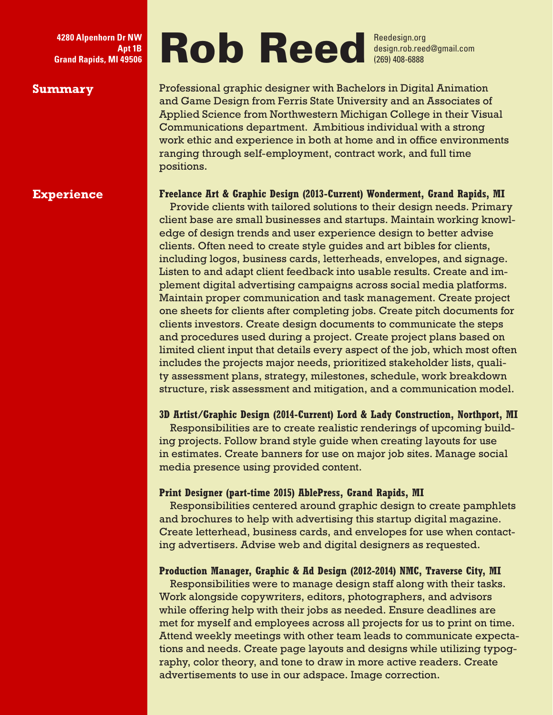**Apt 1B Grand Rapids, MI 49506**

## **Experience**

# 4280 Alpenhorn Dr NW<br>Apt 1B<br>Grand Rapids, MI 49506 Reedesign.rob.ree

design.rob.reed@gmail.com (269) 408-6888

**Summary** Professional graphic designer with Bachelors in Digital Animation and Game Design from Ferris State University and an Associates of Applied Science from Northwestern Michigan College in their Visual Communications department. Ambitious individual with a strong work ethic and experience in both at home and in office environments ranging through self-employment, contract work, and full time positions.

## **Freelance Art & Graphic Design (2013-Current) Wonderment, Grand Rapids, MI**

Provide clients with tailored solutions to their design needs. Primary client base are small businesses and startups. Maintain working knowledge of design trends and user experience design to better advise clients. Often need to create style guides and art bibles for clients, including logos, business cards, letterheads, envelopes, and signage. Listen to and adapt client feedback into usable results. Create and implement digital advertising campaigns across social media platforms. Maintain proper communication and task management. Create project one sheets for clients after completing jobs. Create pitch documents for clients investors. Create design documents to communicate the steps and procedures used during a project. Create project plans based on limited client input that details every aspect of the job, which most often includes the projects major needs, prioritized stakeholder lists, quality assessment plans, strategy, milestones, schedule, work breakdown structure, risk assessment and mitigation, and a communication model.

## **3D Artist/Graphic Design (2014-Current) Lord & Lady Construction, Northport, MI**

Responsibilities are to create realistic renderings of upcoming building projects. Follow brand style guide when creating layouts for use in estimates. Create banners for use on major job sites. Manage social media presence using provided content.

### **Print Designer (part-time 2015) AblePress, Grand Rapids, MI**

Responsibilities centered around graphic design to create pamphlets and brochures to help with advertising this startup digital magazine. Create letterhead, business cards, and envelopes for use when contacting advertisers. Advise web and digital designers as requested.

## **Production Manager, Graphic & Ad Design (2012-2014) NMC, Traverse City, MI**

Responsibilities were to manage design staff along with their tasks. Work alongside copywriters, editors, photographers, and advisors while offering help with their jobs as needed. Ensure deadlines are met for myself and employees across all projects for us to print on time. Attend weekly meetings with other team leads to communicate expectations and needs. Create page layouts and designs while utilizing typography, color theory, and tone to draw in more active readers. Create advertisements to use in our adspace. Image correction.